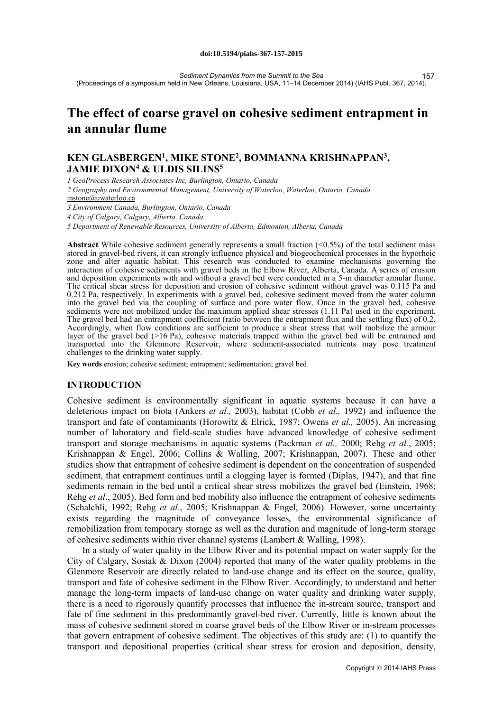#### **doi:10.5194/piahs-367-157-2015**

*Sediment Dynamics from the Summit to the Sea* (Proceedings of a symposium held in New Orleans, Louisiana, USA, 11–14 December 2014) (IAHS Publ. 367, 2014). 157

# **The effect of coarse gravel on cohesive sediment entrapment in an annular flume**

# **KEN GLASBERGEN1, MIKE STONE2, BOMMANNA KRISHNAPPAN3, JAMIE DIXON4 & ULDIS SILINS5**

*1 GeoProcess Research Associates Inc, Burlington, Ontario, Canada* 

*2 Geography and Environmental Management, University of Waterloo, Waterloo, Ontario, Canada* mstone@uwaterloo.ca

*3 Environment Canada, Burlington, Ontario, Canada* 

*4 City of Calgary, Calgary, Alberta, Canada* 

*5 Department of Renewable Resources, University of Alberta, Edmonton, Alberta, Canada*

**Abstract** While cohesive sediment generally represents a small fraction  $(0.5\%)$  of the total sediment mass stored in gravel-bed rivers, it can strongly influence physical and biogeochemical processes in the hyporheic zone and alter aquatic habitat. This research was conducted to examine mechanisms governing the interaction of cohesive sediments with gravel beds in the Elbow River, Alberta, Canada. A series of erosion and deposition experiments with and without a gravel bed were conducted in a 5-m diameter annular flume. The critical shear stress for deposition and erosion of cohesive sediment without gravel was 0.115 Pa and 0.212 Pa, respectively. In experiments with a gravel bed, cohesive sediment moved from the water column into the gravel bed via the coupling of surface and pore water flow. Once in the gravel bed, cohesive sediments were not mobilized under the maximum applied shear stresses (1.11 Pa) used in the experiment. The gravel bed had an entrapment coefficient (ratio between the entrapment flux and the settling flux) of 0.2.<br>Accordingly, when flow conditions are sufficient to produce a shear stress that will mobilize the armour layer of the gravel bed (>16 Pa), cohesive materials trapped within the gravel bed will be entrained and transported into the Glenmore Reservoir, where sediment-associated nutrients may pose treatment challenges to the drinking water supply.

**Key words** erosion; cohesive sediment; entrapment; sedimentation; gravel bed

### **INTRODUCTION**

Cohesive sediment is environmentally significant in aquatic systems because it can have a deleterious impact on biota (Ankers *et al.,* 2003), habitat (Cobb *et al.,* 1992) and influence the transport and fate of contaminants (Horowitz & Elrick, 1987; Owens *et al.,* 2005). An increasing number of laboratory and field-scale studies have advanced knowledge of cohesive sediment transport and storage mechanisms in aquatic systems (Packman *et al.,* 2000; Rehg *et al.*, 2005; Krishnappan & Engel, 2006; Collins & Walling, 2007; Krishnappan, 2007). These and other studies show that entrapment of cohesive sediment is dependent on the concentration of suspended sediment, that entrapment continues until a clogging layer is formed (Diplas, 1947), and that fine sediments remain in the bed until a critical shear stress mobilizes the gravel bed (Einstein, 1968; Rehg *et al*., 2005). Bed form and bed mobility also influence the entrapment of cohesive sediments (Schalchli, 1992; Rehg *et al*., 2005; Krishnappan & Engel, 2006). However, some uncertainty exists regarding the magnitude of conveyance losses, the environmental significance of remobilization from temporary storage as well as the duration and magnitude of long-term storage of cohesive sediments within river channel systems (Lambert & Walling, 1998).

In a study of water quality in the Elbow River and its potential impact on water supply for the City of Calgary, Sosiak  $\&$  Dixon (2004) reported that many of the water quality problems in the Glenmore Reservoir are directly related to land-use change and its effect on the source, quality, transport and fate of cohesive sediment in the Elbow River. Accordingly, to understand and better manage the long-term impacts of land-use change on water quality and drinking water supply, there is a need to rigorously quantify processes that influence the in-stream source, transport and fate of fine sediment in this predominantly gravel-bed river. Currently, little is known about the mass of cohesive sediment stored in coarse gravel beds of the Elbow River or in-stream processes that govern entrapment of cohesive sediment. The objectives of this study are: (1) to quantify the transport and depositional properties (critical shear stress for erosion and deposition, density,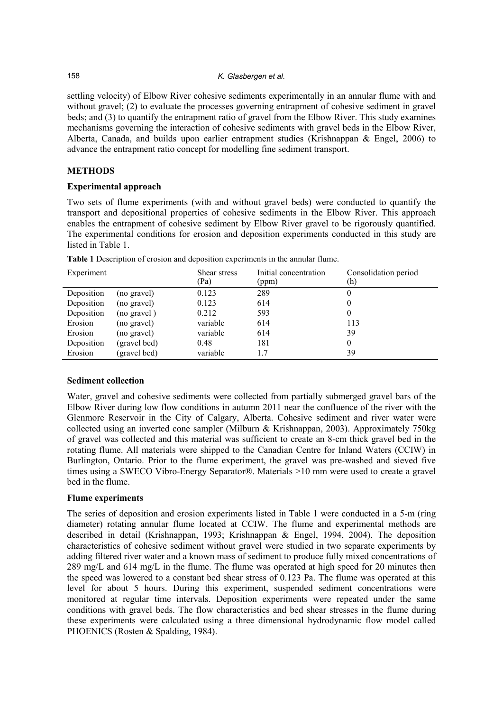#### 158 *K. Glasbergen et al.*

settling velocity) of Elbow River cohesive sediments experimentally in an annular flume with and without gravel; (2) to evaluate the processes governing entrapment of cohesive sediment in gravel beds; and (3) to quantify the entrapment ratio of gravel from the Elbow River. This study examines mechanisms governing the interaction of cohesive sediments with gravel beds in the Elbow River, Alberta, Canada, and builds upon earlier entrapment studies (Krishnappan & Engel, 2006) to advance the entrapment ratio concept for modelling fine sediment transport.

# **METHODS**

# **Experimental approach**

Two sets of flume experiments (with and without gravel beds) were conducted to quantify the transport and depositional properties of cohesive sediments in the Elbow River. This approach enables the entrapment of cohesive sediment by Elbow River gravel to be rigorously quantified. The experimental conditions for erosion and deposition experiments conducted in this study are listed in Table 1.

| Experiment |              | Shear stress<br>(Pa) | Initial concentration<br>(ppm) | Consolidation period<br>(h) |
|------------|--------------|----------------------|--------------------------------|-----------------------------|
| Deposition | (no gravel)  | 0.123                | 289                            | 0                           |
| Deposition | (no gravel)  | 0.123                | 614                            |                             |
| Deposition | (no gravel)  | 0.212                | 593                            |                             |
| Erosion    | (no gravel)  | variable             | 614                            | 113                         |
| Erosion    | (no gravel)  | variable             | 614                            | 39                          |
| Deposition | (gravel bed) | 0.48                 | 181                            | $\theta$                    |
| Erosion    | (gravel bed) | variable             | 1.7                            | 39                          |

**Table 1** Description of erosion and deposition experiments in the annular flume.

# **Sediment collection**

Water, gravel and cohesive sediments were collected from partially submerged gravel bars of the Elbow River during low flow conditions in autumn 2011 near the confluence of the river with the Glenmore Reservoir in the City of Calgary, Alberta. Cohesive sediment and river water were collected using an inverted cone sampler (Milburn & Krishnappan, 2003). Approximately 750kg of gravel was collected and this material was sufficient to create an 8-cm thick gravel bed in the rotating flume. All materials were shipped to the Canadian Centre for Inland Waters (CCIW) in Burlington, Ontario. Prior to the flume experiment, the gravel was pre-washed and sieved five times using a SWECO Vibro-Energy Separator®. Materials >10 mm were used to create a gravel bed in the flume.

# **Flume experiments**

The series of deposition and erosion experiments listed in Table 1 were conducted in a 5-m (ring diameter) rotating annular flume located at CCIW. The flume and experimental methods are described in detail (Krishnappan, 1993; Krishnappan & Engel, 1994, 2004). The deposition characteristics of cohesive sediment without gravel were studied in two separate experiments by adding filtered river water and a known mass of sediment to produce fully mixed concentrations of 289 mg/L and 614 mg/L in the flume. The flume was operated at high speed for 20 minutes then the speed was lowered to a constant bed shear stress of 0.123 Pa. The flume was operated at this level for about 5 hours. During this experiment, suspended sediment concentrations were monitored at regular time intervals. Deposition experiments were repeated under the same conditions with gravel beds. The flow characteristics and bed shear stresses in the flume during these experiments were calculated using a three dimensional hydrodynamic flow model called PHOENICS (Rosten & Spalding, 1984).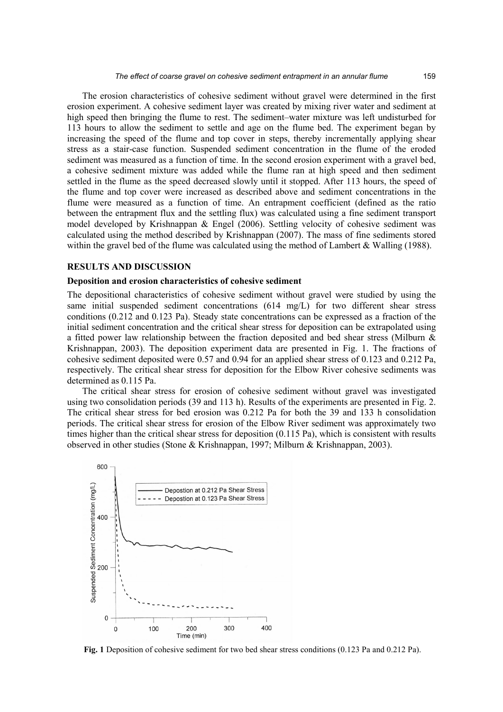The erosion characteristics of cohesive sediment without gravel were determined in the first erosion experiment. A cohesive sediment layer was created by mixing river water and sediment at high speed then bringing the flume to rest. The sediment–water mixture was left undisturbed for 113 hours to allow the sediment to settle and age on the flume bed. The experiment began by increasing the speed of the flume and top cover in steps, thereby incrementally applying shear stress as a stair-case function. Suspended sediment concentration in the flume of the eroded sediment was measured as a function of time. In the second erosion experiment with a gravel bed, a cohesive sediment mixture was added while the flume ran at high speed and then sediment settled in the flume as the speed decreased slowly until it stopped. After 113 hours, the speed of the flume and top cover were increased as described above and sediment concentrations in the flume were measured as a function of time. An entrapment coefficient (defined as the ratio between the entrapment flux and the settling flux) was calculated using a fine sediment transport model developed by Krishnappan & Engel (2006). Settling velocity of cohesive sediment was calculated using the method described by Krishnappan (2007). The mass of fine sediments stored within the gravel bed of the flume was calculated using the method of Lambert & Walling (1988).

#### **RESULTS AND DISCUSSION**

### **Deposition and erosion characteristics of cohesive sediment**

The depositional characteristics of cohesive sediment without gravel were studied by using the same initial suspended sediment concentrations (614 mg/L) for two different shear stress conditions (0.212 and 0.123 Pa). Steady state concentrations can be expressed as a fraction of the initial sediment concentration and the critical shear stress for deposition can be extrapolated using a fitted power law relationship between the fraction deposited and bed shear stress (Milburn & Krishnappan, 2003). The deposition experiment data are presented in Fig. 1. The fractions of cohesive sediment deposited were 0.57 and 0.94 for an applied shear stress of 0.123 and 0.212 Pa, respectively. The critical shear stress for deposition for the Elbow River cohesive sediments was determined as 0.115 Pa.

The critical shear stress for erosion of cohesive sediment without gravel was investigated using two consolidation periods (39 and 113 h). Results of the experiments are presented in Fig. 2. The critical shear stress for bed erosion was 0.212 Pa for both the 39 and 133 h consolidation periods. The critical shear stress for erosion of the Elbow River sediment was approximately two times higher than the critical shear stress for deposition (0.115 Pa), which is consistent with results observed in other studies (Stone & Krishnappan, 1997; Milburn & Krishnappan, 2003).



**Fig. 1** Deposition of cohesive sediment for two bed shear stress conditions (0.123 Pa and 0.212 Pa).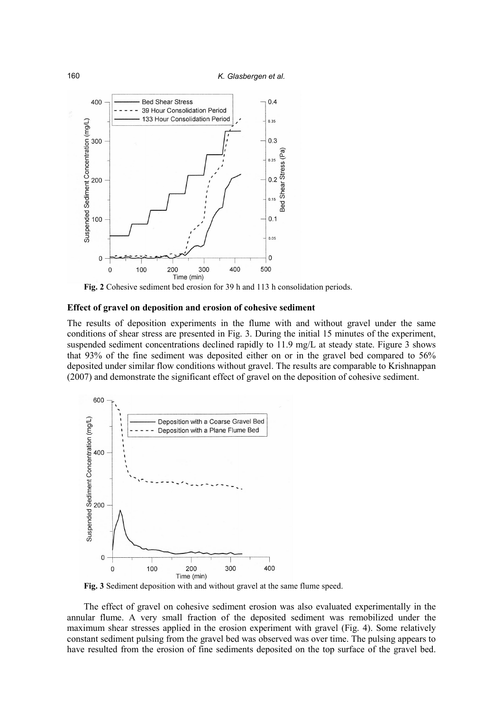

**Fig. 2** Cohesive sediment bed erosion for 39 h and 113 h consolidation periods.

#### **Effect of gravel on deposition and erosion of cohesive sediment**

The results of deposition experiments in the flume with and without gravel under the same conditions of shear stress are presented in Fig. 3. During the initial 15 minutes of the experiment, suspended sediment concentrations declined rapidly to 11.9 mg/L at steady state. Figure 3 shows that 93% of the fine sediment was deposited either on or in the gravel bed compared to 56% deposited under similar flow conditions without gravel. The results are comparable to Krishnappan (2007) and demonstrate the significant effect of gravel on the deposition of cohesive sediment.



**Fig. 3** Sediment deposition with and without gravel at the same flume speed.

The effect of gravel on cohesive sediment erosion was also evaluated experimentally in the annular flume. A very small fraction of the deposited sediment was remobilized under the maximum shear stresses applied in the erosion experiment with gravel (Fig. 4). Some relatively constant sediment pulsing from the gravel bed was observed was over time. The pulsing appears to have resulted from the erosion of fine sediments deposited on the top surface of the gravel bed.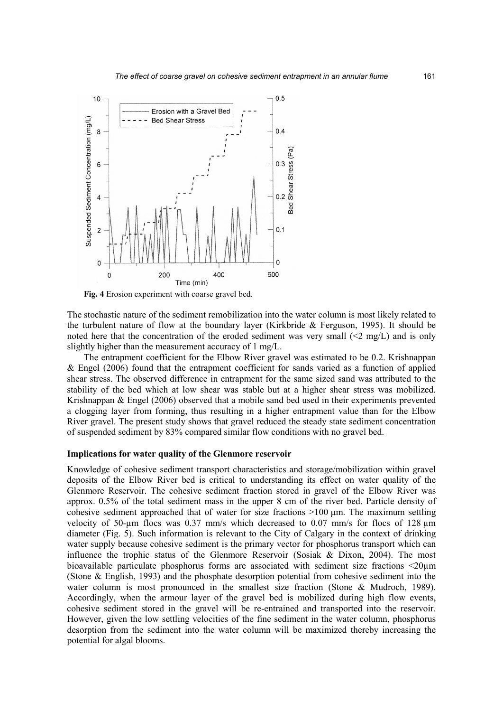

**Fig. 4** Erosion experiment with coarse gravel bed.

The stochastic nature of the sediment remobilization into the water column is most likely related to the turbulent nature of flow at the boundary layer (Kirkbride & Ferguson, 1995). It should be noted here that the concentration of the eroded sediment was very small  $(\leq 2 \text{ mg/L})$  and is only slightly higher than the measurement accuracy of 1 mg/L.

The entrapment coefficient for the Elbow River gravel was estimated to be 0.2. Krishnappan & Engel (2006) found that the entrapment coefficient for sands varied as a function of applied shear stress. The observed difference in entrapment for the same sized sand was attributed to the stability of the bed which at low shear was stable but at a higher shear stress was mobilized. Krishnappan & Engel (2006) observed that a mobile sand bed used in their experiments prevented a clogging layer from forming, thus resulting in a higher entrapment value than for the Elbow River gravel. The present study shows that gravel reduced the steady state sediment concentration of suspended sediment by 83% compared similar flow conditions with no gravel bed.

#### **Implications for water quality of the Glenmore reservoir**

Knowledge of cohesive sediment transport characteristics and storage/mobilization within gravel deposits of the Elbow River bed is critical to understanding its effect on water quality of the Glenmore Reservoir. The cohesive sediment fraction stored in gravel of the Elbow River was approx. 0.5% of the total sediment mass in the upper 8 cm of the river bed. Particle density of cohesive sediment approached that of water for size fractions  $>100 \mu m$ . The maximum settling velocity of 50-µm flocs was 0.37 mm/s which decreased to 0.07 mm/s for flocs of 128  $\mu$ m diameter (Fig. 5). Such information is relevant to the City of Calgary in the context of drinking water supply because cohesive sediment is the primary vector for phosphorus transport which can influence the trophic status of the Glenmore Reservoir (Sosiak & Dixon, 2004). The most bioavailable particulate phosphorus forms are associated with sediment size fractions <20µm (Stone & English, 1993) and the phosphate desorption potential from cohesive sediment into the water column is most pronounced in the smallest size fraction (Stone & Mudroch, 1989). Accordingly, when the armour layer of the gravel bed is mobilized during high flow events, cohesive sediment stored in the gravel will be re-entrained and transported into the reservoir. However, given the low settling velocities of the fine sediment in the water column, phosphorus desorption from the sediment into the water column will be maximized thereby increasing the potential for algal blooms.